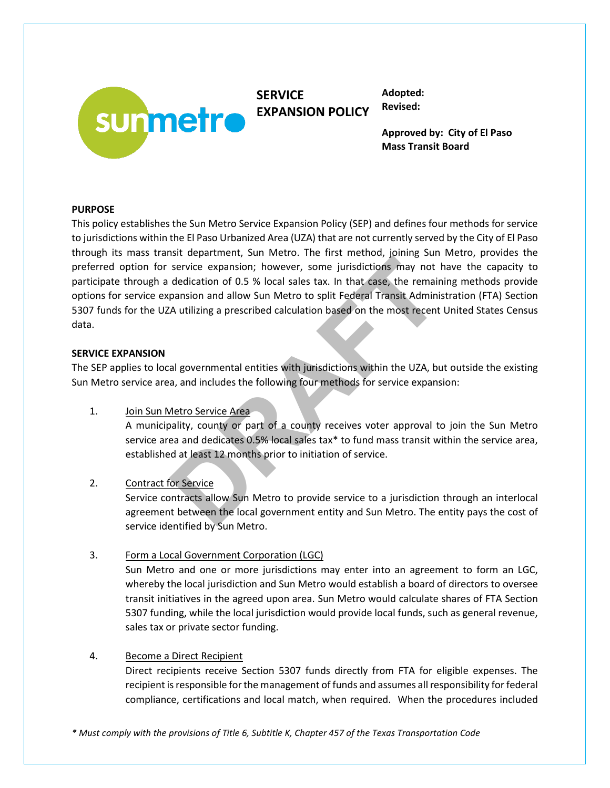

**SERVICE EXPANSION POLICY** **Adopted: Revised:**

**Approved by: City of El Paso Mass Transit Board**

# **PURPOSE**

This policy establishes the Sun Metro Service Expansion Policy (SEP) and defines four methods for service to jurisdictions within the El Paso Urbanized Area (UZA) that are not currently served by the City of El Paso through its mass transit department, Sun Metro. The first method, joining Sun Metro, provides the preferred option for service expansion; however, some jurisdictions may not have the capacity to participate through a dedication of 0.5 % local sales tax. In that case, the remaining methods provide options for service expansion and allow Sun Metro to split Federal Transit Administration (FTA) Section 5307 funds for the UZA utilizing a prescribed calculation based on the most recent United States Census data. Exercice expansion; however, some jurisdictions may not<br>service expansion; however, some jurisdictions may not<br>dedication of 0.5 % local sales tax. In that case, the remain<br>pansion and allow Sun Metro to split Federal Tran

## **SERVICE EXPANSION**

The SEP applies to local governmental entities with jurisdictions within the UZA, but outside the existing Sun Metro service area, and includes the following four methods for service expansion:

1. Join Sun Metro Service Area

A municipality, county or part of a county receives voter approval to join the Sun Metro service area and dedicates 0.5% local sales tax\* to fund mass transit within the service area, established at least 12 months prior to initiation of service.

2. Contract for Service

Service contracts allow Sun Metro to provide service to a jurisdiction through an interlocal agreement between the local government entity and Sun Metro. The entity pays the cost of service identified by Sun Metro.

3. Form a Local Government Corporation (LGC)

Sun Metro and one or more jurisdictions may enter into an agreement to form an LGC, whereby the local jurisdiction and Sun Metro would establish a board of directors to oversee transit initiatives in the agreed upon area. Sun Metro would calculate shares of FTA Section 5307 funding, while the local jurisdiction would provide local funds, such as general revenue, sales tax or private sector funding.

# 4. Become a Direct Recipient

Direct recipients receive Section 5307 funds directly from FTA for eligible expenses. The recipient is responsible for the management of funds and assumes all responsibility for federal compliance, certifications and local match, when required. When the procedures included

*\* Must comply with the provisions of Title 6, Subtitle K, Chapter 457 of the Texas Transportation Code*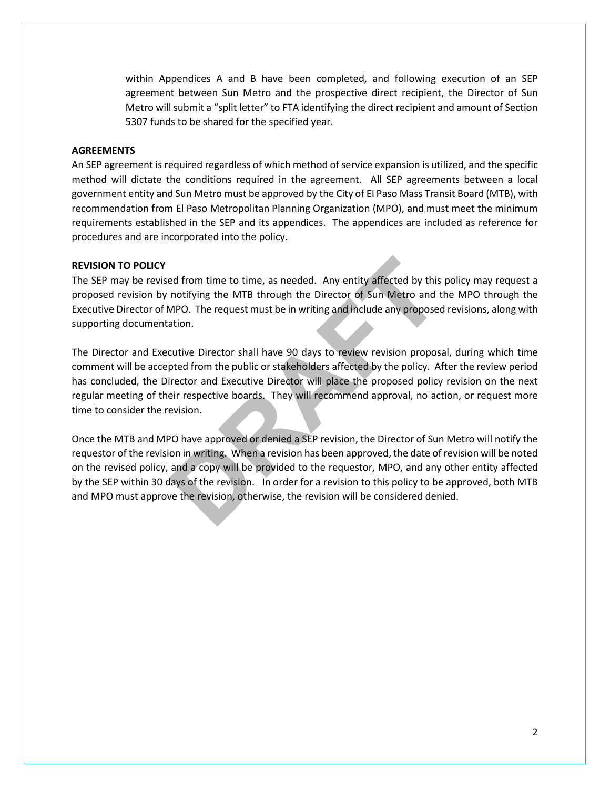within Appendices A and B have been completed, and following execution of an SEP agreement between Sun Metro and the prospective direct recipient, the Director of Sun Metro will submit a "split letter" to FTA identifying the direct recipient and amount of Section 5307 funds to be shared for the specified year.

### **AGREEMENTS**

An SEP agreement is required regardless of which method of service expansion is utilized, and the specific method will dictate the conditions required in the agreement. All SEP agreements between a local government entity and Sun Metro must be approved by the City of El Paso Mass Transit Board (MTB), with recommendation from El Paso Metropolitan Planning Organization (MPO), and must meet the minimum requirements established in the SEP and its appendices. The appendices are included as reference for procedures and are incorporated into the policy.

#### **REVISION TO POLICY**

The SEP may be revised from time to time, as needed. Any entity affected by this policy may request a proposed revision by notifying the MTB through the Director of Sun Metro and the MPO through the Executive Director of MPO. The request must be in writing and include any proposed revisions, along with supporting documentation.

The Director and Executive Director shall have 90 days to review revision proposal, during which time comment will be accepted from the public or stakeholders affected by the policy. After the review period has concluded, the Director and Executive Director will place the proposed policy revision on the next regular meeting of their respective boards. They will recommend approval, no action, or request more time to consider the revision. ed from time to time, as needed. Any entity affected by this<br>notifying the MTB through the Director of Sun Metro and MPO. The request must be in writing and include any propose<br>ation.<br>Lutive Director shall have 90 days to

Once the MTB and MPO have approved or denied a SEP revision, the Director of Sun Metro will notify the requestor of the revision in writing. When a revision has been approved, the date of revision will be noted on the revised policy, and a copy will be provided to the requestor, MPO, and any other entity affected by the SEP within 30 days of the revision. In order for a revision to this policy to be approved, both MTB and MPO must approve the revision, otherwise, the revision will be considered denied.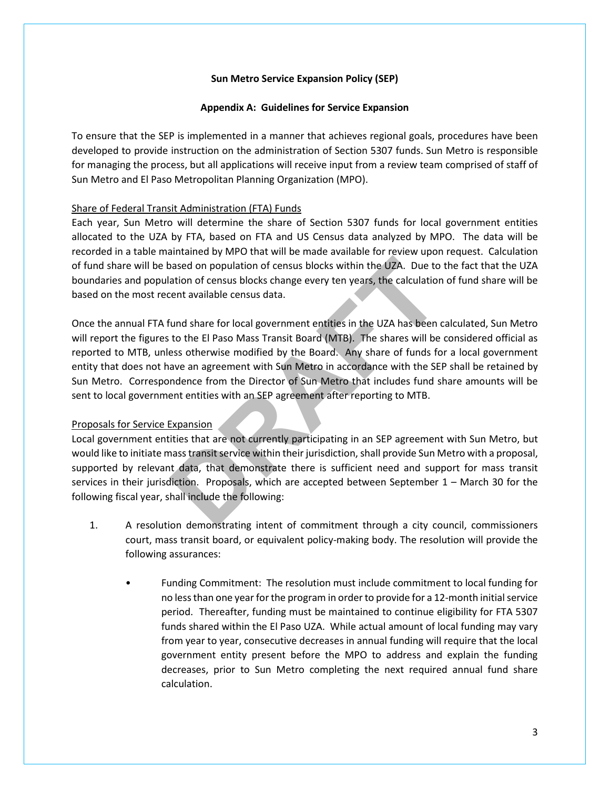### **Appendix A: Guidelines for Service Expansion**

To ensure that the SEP is implemented in a manner that achieves regional goals, procedures have been developed to provide instruction on the administration of Section 5307 funds. Sun Metro is responsible for managing the process, but all applications will receive input from a review team comprised of staff of Sun Metro and El Paso Metropolitan Planning Organization (MPO).

## Share of Federal Transit Administration (FTA) Funds

Each year, Sun Metro will determine the share of Section 5307 funds for local government entities allocated to the UZA by FTA, based on FTA and US Census data analyzed by MPO. The data will be recorded in a table maintained by MPO that will be made available for review upon request. Calculation of fund share will be based on population of census blocks within the UZA. Due to the fact that the UZA boundaries and population of census blocks change every ten years, the calculation of fund share will be based on the most recent available census data.

Once the annual FTA fund share for local government entities in the UZA has been calculated, Sun Metro will report the figures to the El Paso Mass Transit Board (MTB). The shares will be considered official as reported to MTB, unless otherwise modified by the Board. Any share of funds for a local government entity that does not have an agreement with Sun Metro in accordance with the SEP shall be retained by Sun Metro. Correspondence from the Director of Sun Metro that includes fund share amounts will be sent to local government entities with an SEP agreement after reporting to MTB. **Expansion**<br> **DRAFTAT AND THEOTER CONSIDER SERVIGE THEOTERM**<br> **DRAFTAT AND THEOTERM**<br> **DRAFTAT AND INCRED CONSIDER**<br> **DRAFTAT AND ISON MASS Transit Board (MTB). The shares will be**<br> **DRAFTAT AND MASS Transit Board (MTB).**

# Proposals for Service Expansion

Local government entities that are not currently participating in an SEP agreement with Sun Metro, but would like to initiate mass transit service within their jurisdiction, shall provide Sun Metro with a proposal, supported by relevant data, that demonstrate there is sufficient need and support for mass transit services in their jurisdiction. Proposals, which are accepted between September 1 – March 30 for the following fiscal year, shall include the following:

- 1. A resolution demonstrating intent of commitment through a city council, commissioners court, mass transit board, or equivalent policy-making body. The resolution will provide the following assurances:
	- Funding Commitment: The resolution must include commitment to local funding for no less than one year forthe program in order to provide for a 12-month initialservice period. Thereafter, funding must be maintained to continue eligibility for FTA 5307 funds shared within the El Paso UZA. While actual amount of local funding may vary from year to year, consecutive decreases in annual funding will require that the local government entity present before the MPO to address and explain the funding decreases, prior to Sun Metro completing the next required annual fund share calculation.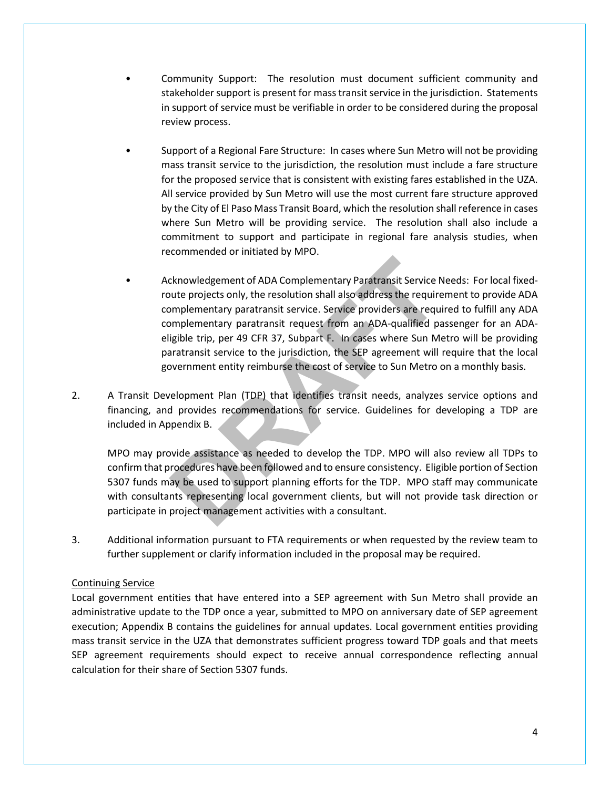- Community Support: The resolution must document sufficient community and stakeholder support is present for mass transit service in the jurisdiction. Statements in support of service must be verifiable in order to be considered during the proposal review process.
- Support of a Regional Fare Structure: In cases where Sun Metro will not be providing mass transit service to the jurisdiction, the resolution must include a fare structure for the proposed service that is consistent with existing fares established in the UZA. All service provided by Sun Metro will use the most current fare structure approved by the City of El Paso Mass Transit Board, which the resolution shall reference in cases where Sun Metro will be providing service. The resolution shall also include a commitment to support and participate in regional fare analysis studies, when recommended or initiated by MPO.
- Acknowledgement of ADA Complementary Paratransit Service Needs: For local fixedroute projects only, the resolution shall also address the requirement to provide ADA complementary paratransit service. Service providers are required to fulfill any ADA complementary paratransit request from an ADA-qualified passenger for an ADAeligible trip, per 49 CFR 37, Subpart F. In cases where Sun Metro will be providing paratransit service to the jurisdiction, the SEP agreement will require that the local government entity reimburse the cost of service to Sun Metro on a monthly basis. cknowledgement of ADA Complementary Paratransit Service Punter projects only, the resolution shall also address the require proplementary paratransit service. Service providers are required proplementary paratransit reques
- 2. A Transit Development Plan (TDP) that identifies transit needs, analyzes service options and financing, and provides recommendations for service. Guidelines for developing a TDP are included in Appendix B.

MPO may provide assistance as needed to develop the TDP. MPO will also review all TDPs to confirm that procedures have been followed and to ensure consistency. Eligible portion of Section 5307 funds may be used to support planning efforts for the TDP. MPO staff may communicate with consultants representing local government clients, but will not provide task direction or participate in project management activities with a consultant.

3. Additional information pursuant to FTA requirements or when requested by the review team to further supplement or clarify information included in the proposal may be required.

### Continuing Service

Local government entities that have entered into a SEP agreement with Sun Metro shall provide an administrative update to the TDP once a year, submitted to MPO on anniversary date of SEP agreement execution; Appendix B contains the guidelines for annual updates. Local government entities providing mass transit service in the UZA that demonstrates sufficient progress toward TDP goals and that meets SEP agreement requirements should expect to receive annual correspondence reflecting annual calculation for their share of Section 5307 funds.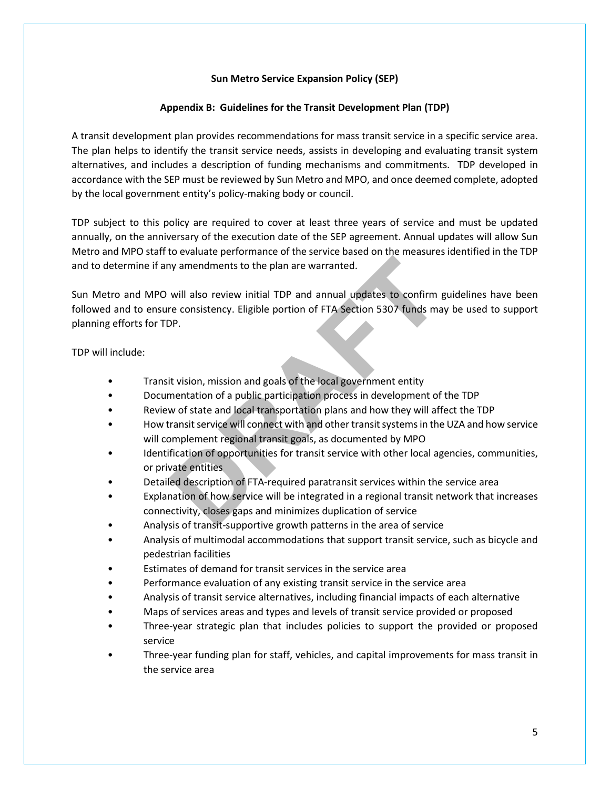# **Appendix B: Guidelines for the Transit Development Plan (TDP)**

A transit development plan provides recommendations for mass transit service in a specific service area. The plan helps to identify the transit service needs, assists in developing and evaluating transit system alternatives, and includes a description of funding mechanisms and commitments. TDP developed in accordance with the SEP must be reviewed by Sun Metro and MPO, and once deemed complete, adopted by the local government entity's policy-making body or council.

TDP subject to this policy are required to cover at least three years of service and must be updated annually, on the anniversary of the execution date of the SEP agreement. Annual updates will allow Sun Metro and MPO staff to evaluate performance of the service based on the measures identified in the TDP and to determine if any amendments to the plan are warranted.

Sun Metro and MPO will also review initial TDP and annual updates to confirm guidelines have been followed and to ensure consistency. Eligible portion of FTA Section 5307 funds may be used to support planning efforts for TDP. interimal and the plan are warranted.<br>
Will also review initial TDP and annual updates to confirm<br>
re consistency. Eligible portion of FTA Section 5307 funds may<br>
DP.<br>
It vision, mission and goals of the local government e

TDP will include:

- Transit vision, mission and goals of the local government entity
- Documentation of a public participation process in development of the TDP
- Review of state and local transportation plans and how they will affect the TDP
- How transit service will connect with and other transit systems in the UZA and how service will complement regional transit goals, as documented by MPO
- Identification of opportunities for transit service with other local agencies, communities, or private entities
- Detailed description of FTA-required paratransit services within the service area
- Explanation of how service will be integrated in a regional transit network that increases connectivity, closes gaps and minimizes duplication of service
- Analysis of transit-supportive growth patterns in the area of service
- Analysis of multimodal accommodations that support transit service, such as bicycle and pedestrian facilities
- Estimates of demand for transit services in the service area
- Performance evaluation of any existing transit service in the service area
- Analysis of transit service alternatives, including financial impacts of each alternative
- Maps of services areas and types and levels of transit service provided or proposed
- Three-year strategic plan that includes policies to support the provided or proposed service
- Three-year funding plan for staff, vehicles, and capital improvements for mass transit in the service area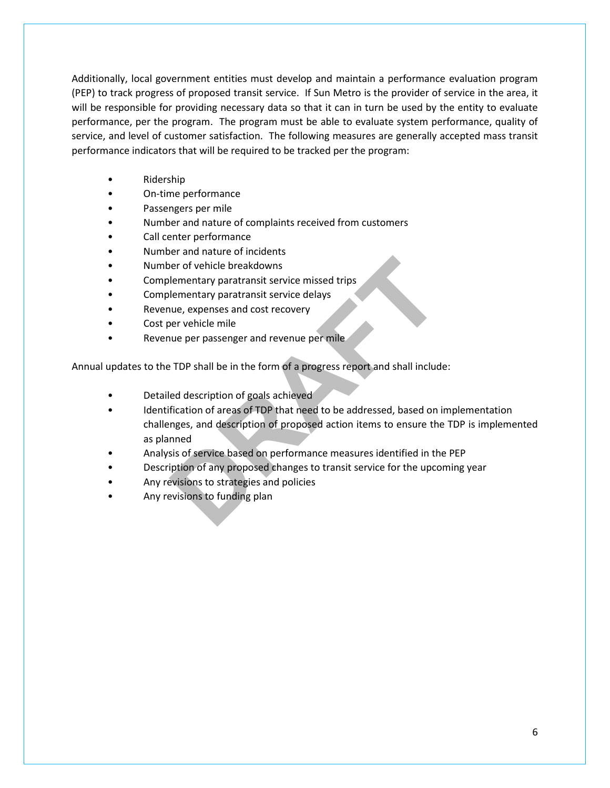Additionally, local government entities must develop and maintain a performance evaluation program (PEP) to track progress of proposed transit service. If Sun Metro is the provider of service in the area, it will be responsible for providing necessary data so that it can in turn be used by the entity to evaluate performance, per the program. The program must be able to evaluate system performance, quality of service, and level of customer satisfaction. The following measures are generally accepted mass transit performance indicators that will be required to be tracked per the program:

- Ridership
- On-time performance
- Passengers per mile
- Number and nature of complaints received from customers
- Call center performance
- Number and nature of incidents
- Number of vehicle breakdowns
- Complementary paratransit service missed trips
- Complementary paratransit service delays
- Revenue, expenses and cost recovery
- Cost per vehicle mile
- Revenue per passenger and revenue per mile

Annual updates to the TDP shall be in the form of a progress report and shall include:

- Detailed description of goals achieved
- Identification of areas of TDP that need to be addressed, based on implementation challenges, and description of proposed action items to ensure the TDP is implemented as planned er of vehicle breakdowns<br>
lementary paratransit service missed trips<br>
lementary paratransit service delays<br>
nue, expenses and cost recovery<br>
ber vehicle mile<br>
PTDP shall be in the form of a progress report and shall includ
- Analysis of service based on performance measures identified in the PEP
- Description of any proposed changes to transit service for the upcoming year
- Any revisions to strategies and policies
- Any revisions to funding plan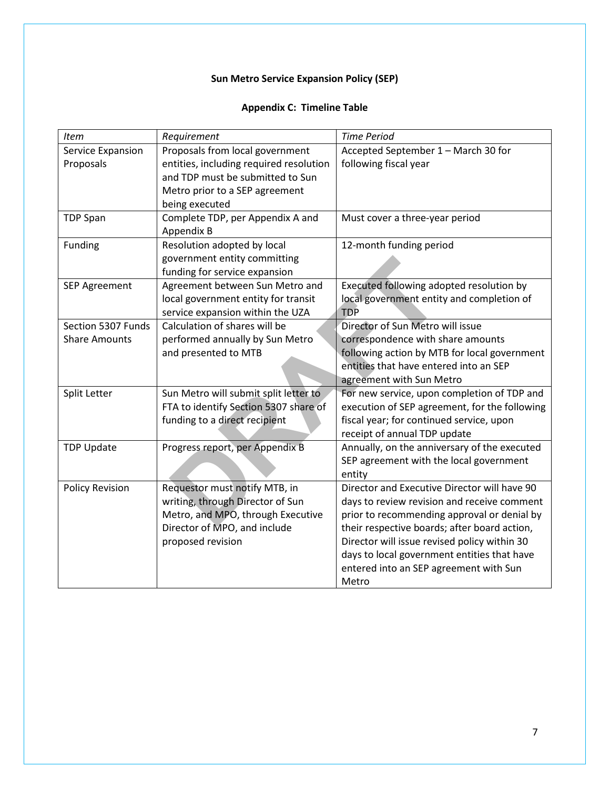# **Appendix C: Timeline Table**

| Item                   | Requirement                             | <b>Time Period</b>                            |
|------------------------|-----------------------------------------|-----------------------------------------------|
| Service Expansion      | Proposals from local government         | Accepted September 1 - March 30 for           |
| Proposals              | entities, including required resolution | following fiscal year                         |
|                        | and TDP must be submitted to Sun        |                                               |
|                        | Metro prior to a SEP agreement          |                                               |
|                        | being executed                          |                                               |
| <b>TDP Span</b>        | Complete TDP, per Appendix A and        | Must cover a three-year period                |
|                        | Appendix B                              |                                               |
| Funding                | Resolution adopted by local             | 12-month funding period                       |
|                        | government entity committing            |                                               |
|                        | funding for service expansion           |                                               |
| <b>SEP Agreement</b>   | Agreement between Sun Metro and         | Executed following adopted resolution by      |
|                        | local government entity for transit     | local government entity and completion of     |
|                        | service expansion within the UZA        | <b>TDP</b>                                    |
| Section 5307 Funds     | Calculation of shares will be           | Director of Sun Metro will issue              |
| <b>Share Amounts</b>   | performed annually by Sun Metro         | correspondence with share amounts             |
|                        | and presented to MTB                    | following action by MTB for local government  |
|                        |                                         | entities that have entered into an SEP        |
|                        |                                         | agreement with Sun Metro                      |
| Split Letter           | Sun Metro will submit split letter to   | For new service, upon completion of TDP and   |
|                        | FTA to identify Section 5307 share of   | execution of SEP agreement, for the following |
|                        | funding to a direct recipient           | fiscal year; for continued service, upon      |
|                        |                                         | receipt of annual TDP update                  |
| <b>TDP Update</b>      | Progress report, per Appendix B         | Annually, on the anniversary of the executed  |
|                        |                                         | SEP agreement with the local government       |
|                        |                                         | entity                                        |
| <b>Policy Revision</b> | Requestor must notify MTB, in           | Director and Executive Director will have 90  |
|                        | writing, through Director of Sun        | days to review revision and receive comment   |
|                        | Metro, and MPO, through Executive       | prior to recommending approval or denial by   |
|                        | Director of MPO, and include            | their respective boards; after board action,  |
|                        | proposed revision                       | Director will issue revised policy within 30  |
|                        |                                         | days to local government entities that have   |
|                        |                                         | entered into an SEP agreement with Sun        |
|                        |                                         | Metro                                         |